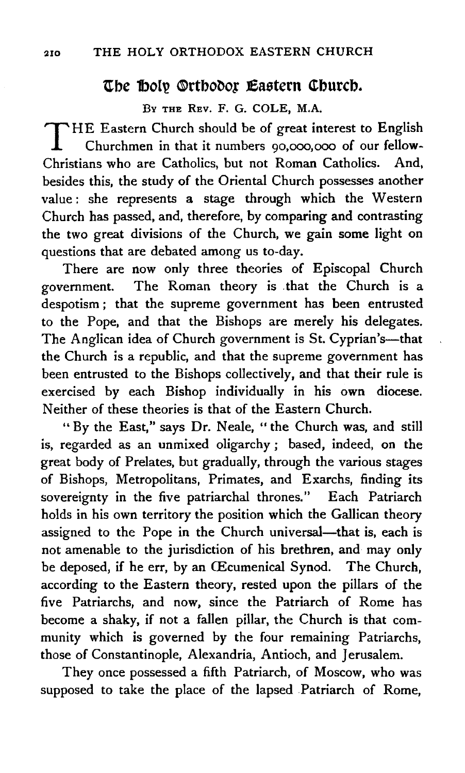## **The Boly Orthodor Eastern Church.**

BY THE REV. F. G. COLE, M.A.

THE Eastern Church should be of great interest to English Churchmen in that it numbers 90,000,000 of our fellow-Christians who are Catholics, but not Roman Catholics. And, besides this, the study of the Oriental Church possesses another value: she represents a stage through which the Western Church has passed, and, therefore, by comparing and contrasting the two great divisions of the Church, we gain some light on questions that are debated among us to-day.

There are now only three theories of Episcopal Church government. The Roman theory is . that the Church is a despotism ; that the supreme government has been entrusted to the Pope, and that the Bishops are merely his delegates. The Anglican idea of Church government is St. Cyprian's-that the Church is a republic, and that the supreme government has been entrusted to the Bishops collectively, and that their rule is exercised by each Bishop individually in his own diocese. Neither of these theories is that of the Eastern Church.

" By the East," says Dr. Neale, " the Church was, and still is, regarded as an unmixed oligarchy ; based, indeed, on the great body of Prelates, but gradually, through the various stages of Bishops, Metropolitans, Primates, and Exarchs, finding its sovereignty in the five patriarchal thrones." Each Patriarch holds in his own territory the position which the Gallican theory assigned to the Pope in the Church universal—that is, each is not amenable to the jurisdiction of his brethren, and may only be deposed, if he err, by an Œcumenical Synod. The Church, according to the Eastern theory, rested upon the pillars of the five Patriarchs, and now, since the Patriarch of Rome has become a shaky, if not a fallen pillar, the Church is that community which is governed by the four remaining Patriarchs, those of Constantinople, Alexandria, Antioch, and Jerusalem.

They once possessed a fifth Patriarch, of Moscow, who was supposed to take the place of the lapsed Patriarch of Rome,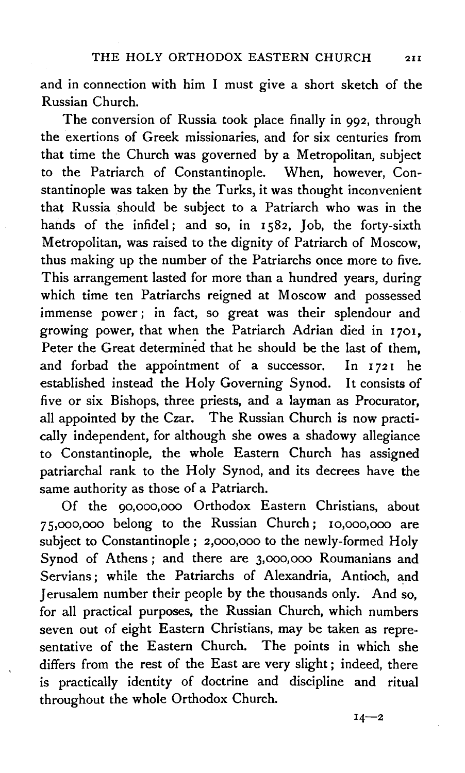and in connection with him I must give a short sketch of the Russian Church.

The conversion of Russia took place finally in 992, through the exertions of Greek missionaries, and for six centuries from that time the Church was governed by a Metropolitan, subject to the Patriarch of Constantinople. When, however, Constantinople was taken by the Turks, it was thought inconvenient that Russia should be subject to a Patriarch who was in the hands of the infidel; and so, in 1582, Job, the forty-sixth Metropolitan, was raised to the dignity of Patriarch of Moscow, thus making up the number of the Patriarchs once more to five. This arrangement lasted for more than a hundred years, during which time ten Patriarchs reigned at Moscow and possessed immense power ; in fact, so great was their splendour and growing power, that when the Patriarch Adrian died in I70I, Peter the Great determined that he should be the last of them, and forbad the appointment of a successor. In  $1721$  he established instead the Holy Governing Synod. It consists of five or six Bishops, three priests, and a layman as Procurator, all appointed by the Czar. The Russian Church is now practically independent, for although she owes a shadowy allegiance to Constantinople, the whole Eastern Church has assigned patriarchal rank to the Holy Synod, and its decrees have the same authority as those of a Patriarch.

Of the 90,ooo,ooo Orthodox Eastern Christians, about *7* s,ooo,ooo belong to the Russian Church; Io,ooo,ooo are subject to Constantinople; 2,ooo,ooo to the newly-formed Holy Synod of Athens; and there are 3,ooo,ooo Roumanians and Servians ; while the Patriarchs of Alexandria, Antioch, and Jerusalem number their people by the thousands only. And so, for all practical purposes. the Russian Church, which numbers seven out of eight Eastern Christians, may be taken as representative of the Eastern Church. The points in which she differs from the rest of the East are very slight ; indeed, there is practically identity of doctrine and discipline and ritual throughout the whole Orthodox Church.

 $14 - 2$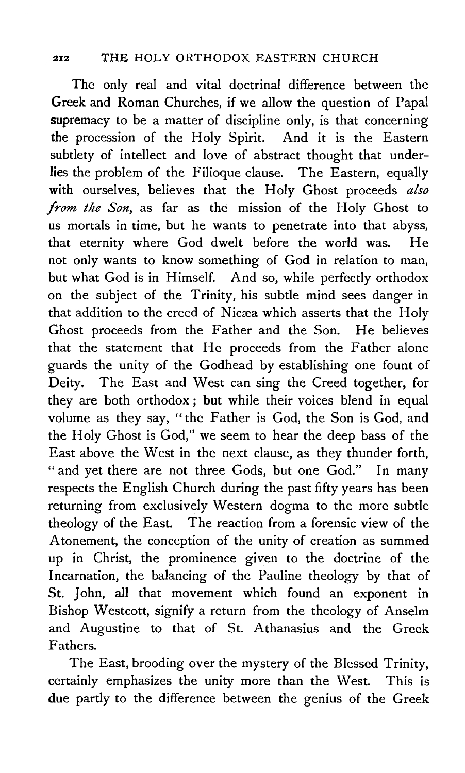## 212 THE HOLY ORTHODOX EASTERN CHURCH

The only real and vital doctrinal difference between the Greek and Roman Churches, if we allow the question of Papal supremacy to be a matter of discipline only, is that concerning the procession of the Holy Spirit. And it is the Eastern subtlety of intellect and love of abstract thought that underlies the problem of the Filioque clause. The Eastern, equally with ourselves, believes that the Holy Ghost proceeds *also from the Son,* as far as the mission of the Holy Ghost to us mortals in time, but he wants to penetrate into that abyss, that eternity where God dwelt before the world was. He not only wants to know something of God in relation to man, but what God is in Himself. And so, while perfectly orthodox on the subject of the Trinity, his subtle mind sees danger in that addition to the creed of Nicæa which asserts that the Holy Ghost proceeds from the Father and the Son. He believes that the statement that He proceeds from the Father alone guards the unity of the Godhead by establishing one fount of Deity. The East and West can sing the Creed together, for they are both orthodox ; but while their voices blend in equal volume as they say, "the Father is God, the Son is God, and the Holy Ghost is God," we seem to hear the deep bass of the East above the West in the next clause, as they thunder forth, "and yet there are not three Gods, but one God." In many respects the English Church during the past fifty years has been returning from exclusively Western dogma to the more subtle theology of the East. The reaction from a forensic view of the Atonement, the conception of the unity of creation as summed up in Christ, the prominence given to the doctrine of the Incarnation, the balancing of the Pauline theology by that of St. John, all that movement which found an exponent in Bishop Westcott, signify a return from the theology of Anselm and Augustine to that of St. Athanasius and the Greek Fathers.

The East, brooding over the mystery of the Blessed Trinity, certainly emphasizes the unity more than the West. This is due partly to the difference between the genius of the Greek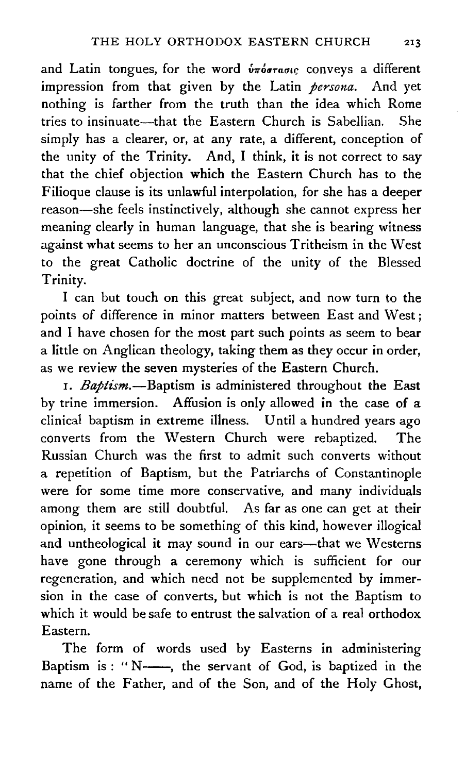and Latin tongues, for the word  $\hat{v}\pi\hat{o}\sigma\tau\hat{a}\sigma\iota\varsigma$  conveys a different impression from that given by the Latin *persona.* And yet nothing is farther from the truth than the idea which Rome tries to insinuate-that the Eastern Church is Sabellian. She simply has a clearer, or, at any rate, a different, conception of the unity of the Trinity. And, I think, it is not correct to say that the chief objection which the Eastern Church has to the Filioque clause is its unlawful interpolation, for she has a deeper reason-she feels instinctively, although she cannot express her meaning clearly in human language, that she is bearing witness against what seems to her an unconscious Tritheism in the West to the great Catholic doctrine of the unity of the Blessed Trinity.

I can but touch on this great subject, and now turn to the points of difference in minor matters between East and West ; and I have chosen for the most part such points as seem to bear a little on Anglican theology, taking them as they occur in order, as we review the seven mysteries of the Eastern Church.

1. *Baptism.-Baptism* is administered throughout the East by trine immersion. Affusion is only allowed in the case of a clinical baptism in extreme illness. Until a hundred years ago converts from the Western Church were rebaptized. The Russian Church was the first to admit such converts without a repetition of Baptism, but the Patriarchs of Constantinople were for some time more conservative, and many individuals among them are still doubtful. As far as one can get at their opinion, it seems to be something of this kind, however illogical and untheological it may sound in our ears—that we Westerns have gone through a ceremony which is sufficient for our regeneration, and which need not be supplemented by immersion in the case of converts, but which is not the Baptism to which it would be safe to entrust the salvation of a real orthodox Eastern.

The form of words used by Easterns in administering Baptism is: " $N$ —, the servant of God, is baptized in the name of the Father, and of the Son, and of the Holy Ghost,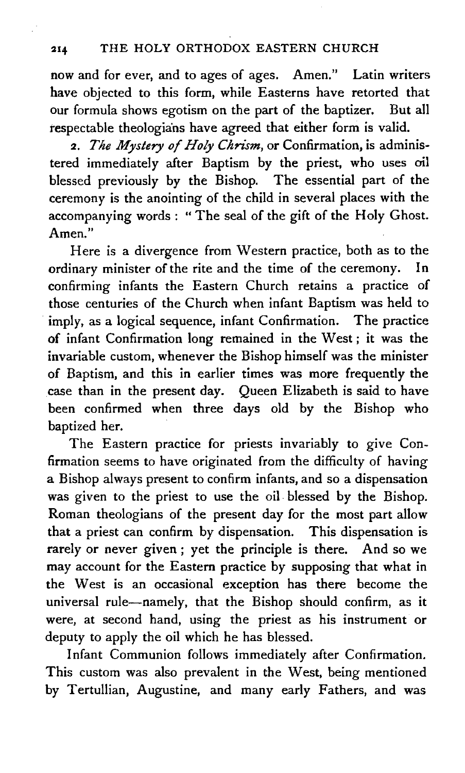now and for ever, and to ages of ages. Amen." Latin writers have objected to this form, while Easterns have retorted that our formula shows egotism on the part of the baptizer. But all respectable theologia'ns have agreed that either form is valid.

2. *The Mystery of Holy Chrism,* or Confirmation, is adminis· tered immediately after Baptism by the priest, who uses oil blessed previously by the Bishop. The essential part of the ceremony is the anointing of the child in several places with the accompanying words: "The seal of the gift of the Holy Ghost. Amen."

Here is a divergence from Western practice, both as to the ordinary minister of the rite and the time of the ceremony. In confirming infants the Eastern Church retains a practice of those centuries of the Church when infant Baptism was held to imply, as a logical sequence, infant Confirmation. The practice of infant Confirmation long remained in the West ; it was the invariable custom, whenever the Bishop himself was the minister of Baptism, and this in earlier times was more frequently the case than in the present day. Queen Elizabeth is said to have been confirmed when three days old by the Bishop who baptized her.

The Eastern practice for priests invariably to give Confirmation seems to have originated from the difficulty of having a Bishop always present to confirm infants, and so a dispensation was given to the priest to use the oil. blessed by the Bishop. Roman theologians of the present day for the most part allow that a priest can confirm by dispensation. This dispensation is rarely or never given ; yet the principle is there. And so we may account for the Eastern practice by supposing that what in the West is an occasional exception has there become the universal rule-namely, that the Bishop should confirm, as it were, at second hand, using the priest as his instrument or deputy to apply the oil which he has blessed.

Infant Communion follows immediately after Confirmation. This custom was also prevalent in the West, being mentioned by Tertullian, Augustine, and many early Fathers, and was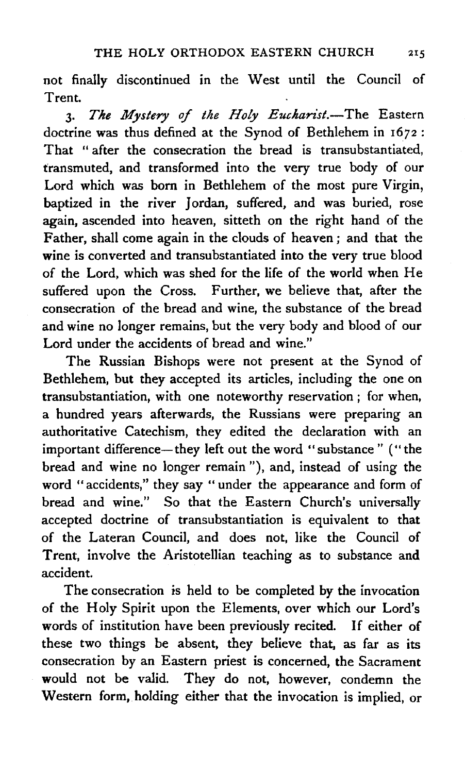not finally discontinued in the West until the Council of Trent.

3. The Mystery of the Holy Eucharist.-The Eastern doctrine was thus defined at the Synod of Bethlehem in 1672: That " after the consecration the bread is transubstantiated. transmuted, and transformed into the very true body of our Lord which was born in Bethlehem of the most pure Virgin, baptized in the river Jordan, suffered, and was buried, rose again, ascended into heaven, sitteth on the right hand of the Father, shall come again in the clouds of heaven; and that the wine is converted and transubstantiated into the very true blood of the Lord, which was shed for the life of the world when He suffered upon the Cross. Further, we believe that, after the consecration of the bread and wine, the substance of the bread and wine no longer remains, but the very body and blood of our Lord under the accidents of bread and wine."

The Russian Bishops were not present at the Synod of Bethlehem, but they accepted its articles, including the one on transubstantiation, with one noteworthy reservation ; for when, a hundred years afterwards, the Russians were preparing an authoritative Catechism, they edited the declaration with an important difference-they left out the word "substance" ("the bread and wine no longer remain"), and, instead of using the word "accidents," they say " under the appearance and form of bread and wine." So that the Eastern Church's universally accepted doctrine of transubstantiation is equivalent to that of the Lateran Council, and does not, like the Council of Trent, involve the Aristotellian teaching as to substance and accident.

The consecration is held to be completed by the invocation of the Holy Spirit upon the Elements, over which our Lord's words of institution have been previously recited. If either of these two things be absent, they believe that, as far as its consecration by an Eastern priest is concerned, the Sacrament would not be valid. They do not, however, condemn the Western form, holding either that the invocation is implied, or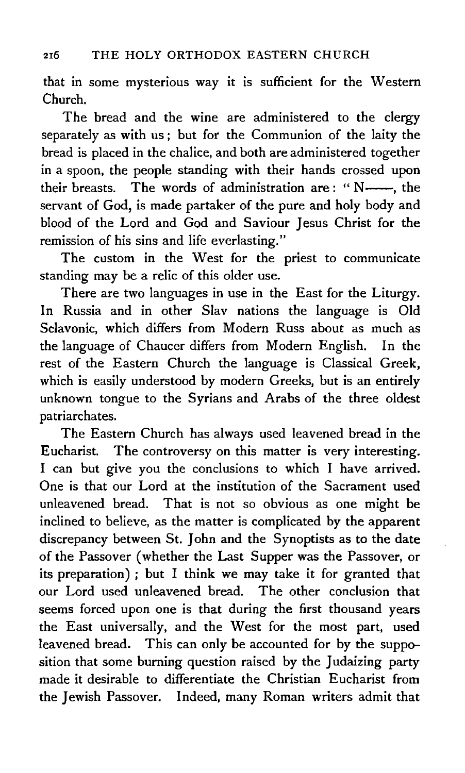that in some mysterious way it is sufficient for the Western Church.

The bread and the wine are administered to the clergy separately as with us ; but for the Communion of the laity the bread is placed in the chalice, and both are administered together in a spoon, the people standing with their hands crossed upon their breasts. The words of administration are: "N----, the servant of God, is made partaker of the pure and holy body and blood of the Lord and God and Saviour Jesus Christ for the remission of his sins and life everlasting."

The custom in the West for the priest to communicate standing may be a relic of this older use.

There are two languages in use in the East for the Liturgy. In Russia and in other Slav nations the language is Old Sclavonic, which differs from Modern Russ about as much as the language of Chaucer differs from Modern English. In the rest of the Eastern Church the language is Classical Greek, which is easily understood by modern Greeks, but is an entirely unknown tongue to the Syrians and Arabs of the three oldest patriarchates.

The Eastern Church has always used leavened bread in the Eucharist. The controversy on this matter is very interesting. I can but give you the conclusions to which I have arrived. One is that our Lord at the institution of the Sacrament used unleavened bread. That is not so obvious as one might be inclined to believe, as the matter is complicated by the apparent discrepancy between St. John and the Synoptists as to the date of the Passover (whether the Last Supper was the Passover, or its preparation) ; but I think we may take it for granted that our Lord used unleavened bread. The other conclusion that seems forced upon one is that during the first thousand years the East universally, and the West for the most part, used leavened bread. This can only be accounted for by the supposition that some burning question raised by the Judaizing party made it desirable to differentiate the Christian Eucharist from the Jewish Passover. Indeed, many Roman writers admit that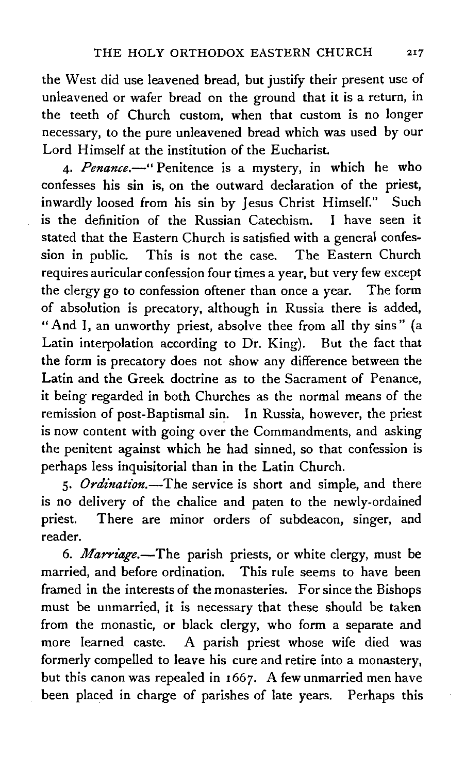the West did use leavened bread, but justify their present use of unleavened or wafer bread on the ground that it is a return, in the teeth of Church custom, when that custom is no longer necessary, to the pure unleavened bread which was used by our Lord Himself at the institution of the Eucharist.

4. Penance.-" Penitence is a mystery, in which he who confesses his sin is, on the outward declaration of the priest, inwardly loosed from his sin by Jesus Christ Himself." Such is the definition of the Russian Catechism. I have seen it stated that the Eastern Church is satisfied with a general confession in public. This is not the case. The Eastern Church requires auricular confession four times a year, but very few except the clergy go to confession oftener than once a year. The form of absolution is precatory, although in Russia there is added, "And I, an unworthy priest, absolve thee from all thy sins" (a Latin interpolation according to Dr. King). But the fact that the form is precatory does not show any difference between the Latin and the Greek doctrine as to the Sacrament of Penance, it being regarded in both Churches as the normal means of the remission of post-Baptismal sin. In Russia, however, the priest is now content with going over the Commandments, and asking the penitent against which he had sinned, so that confession is perhaps less inquisitorial than in the Latin Church.

5. *Ordination*.-The service is short and simple, and there is no delivery of the chalice and paten to the newly-ordained priest. There are minor orders of subdeacon, singer, and reader.

6. *Marriage.-The* parish priests, or white clergy, must be married, and before ordination. This rule seems to have been framed in the interests of the monasteries. For since the Bishops must be unmarried, it is necessary that these should be taken from the monastic, or black clergy, who form a separate and more learned caste. A parish priest whose wife died was formerly compelled to leave his cure and retire into a monastery, but this canon was repealed in 1667. A few unmarried men have been placed in charge of parishes of late years. Perhaps this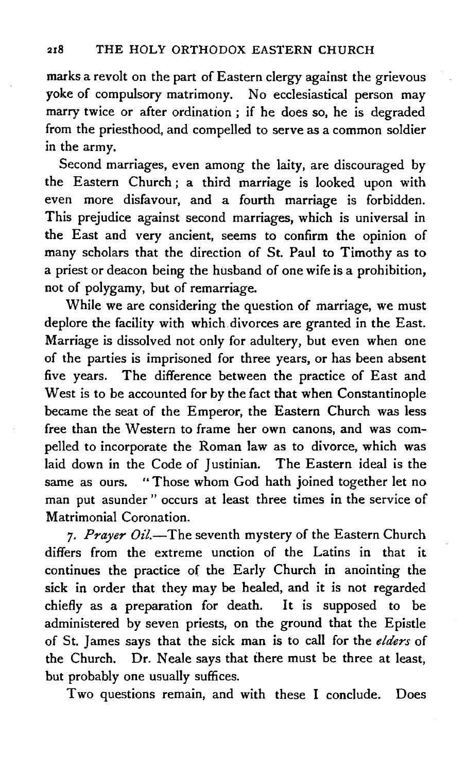marks a revolt on the part of Eastern clergy against the grievous yoke of compulsory matrimony. No ecclesiastical person may marry twice or after ordination ; if he does so, he is degraded from the priesthood, and compelled to serve as a common soldier in the army.

Second marriages, even among the laity, are discouraged by the Eastern Church ; a third marriage is looked upon with even more disfavour, and a fourth marriage is forbidden. This prejudice against second marriages, which is universal in the East and very ancient, seems to confirm the opinion of many scholars that the direction of St. Paul to Timothy as to a priest or deacon being the husband of one wife is a prohibition, not of polygamy, but of remarriage.

While we are considering the question of marriage, we must deplore the facility with which divorces are granted in the East. Marriage is dissolved not only for adultery, but even when one of the parties is imprisoned for three years, or has been absent five years. The difference between the practice of East and West is to be accounted for by the fact that when Constantinople became the seat of the Emperor, the Eastern Church was less free than the Western to frame her own canons, and was compelled to incorporate the Roman law as to divorce, which was laid down in the Code of Justinian. The Eastern ideal is the same as ours. "Those whom God hath joined together let no man put asunder " occurs at least three times in the service of Matrimonial Coronation.

7. Prayer Oil.-The seventh mystery of the Eastern Church differs from the extreme unction of the Latins in that it continues the practice of the Early Church in anointing the sick in order that they may be healed, and it is not regarded chiefly as a preparation for death. It is supposed to be administered by seven priests, on the ground that the Epistle of St. James says that the sick man is to call for the *elders* of the Church. Dr. Neale says that there must be three at least, but probably one usually suffices.

Two questions remain, and with these I conclude. Does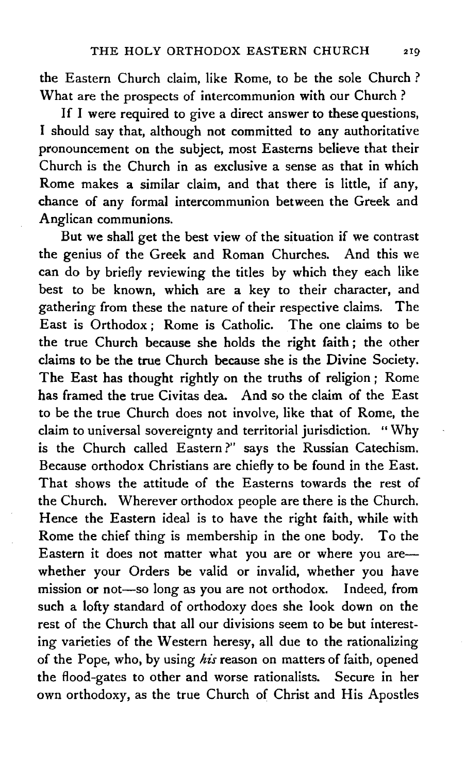the Eastern Church claim, like Rome, to be the sole Church ? What are the prospects of intercommunion with our Church ?

If I were required to give a direct answer to these questions, I should say that, although not committed to any authoritative pronouncement on the subject, most Easterns believe that their Church is the Church in as exclusive a sense as that in which Rome makes a similar claim, and that there is little, if any, chance of any formal intercommunion between the Greek and Anglican communions.

But we shall get the best view of the situation if we contrast the genius of the Greek and Roman Churches. And this we can do by briefly reviewing the titles by which they each like best to be known, which are a key to their character, and gathering from these the nature of their respective claims. The East is Orthodox ; Rome is Catholic. The one claims to be the true Church because she holds the right faith ; the other claims to be the true Church because she is the Divine Society. The East has thought rightly on the truths of religion ; Rome has framed the true Civitas dea. And so the claim of the East to be the true Church does not involve, like that of Rome, the daim to universal sovereignty and territorial jurisdiction. " Why is the Church called Eastern ?" says the Russian Catechism. Because orthodox Christians are chiefly to be found in the East. That shows the attitude of the Easterns towards the rest of the Church. Wherever orthodox people are there is the Church. Hence the Eastern ideal is to have the right faith, while with Rome the chief thing is membership in the one body. To the Eastern it does not matter what you are or where you arewhether your Orders be valid or invalid, whether you have mission or not-so long as you are not orthodox. Indeed, from such a lofty standard of orthodoxy does she look down on the rest of the Church that all our divisions seem to be but interesting varieties of the Western heresy, all due to the rationalizing of the Pope, who, by using *his* reason on matters of faith, opened the flood-gates to other and worse rationalists. Secure in her own orthodoxy, as the true Church of Christ and His Apostles